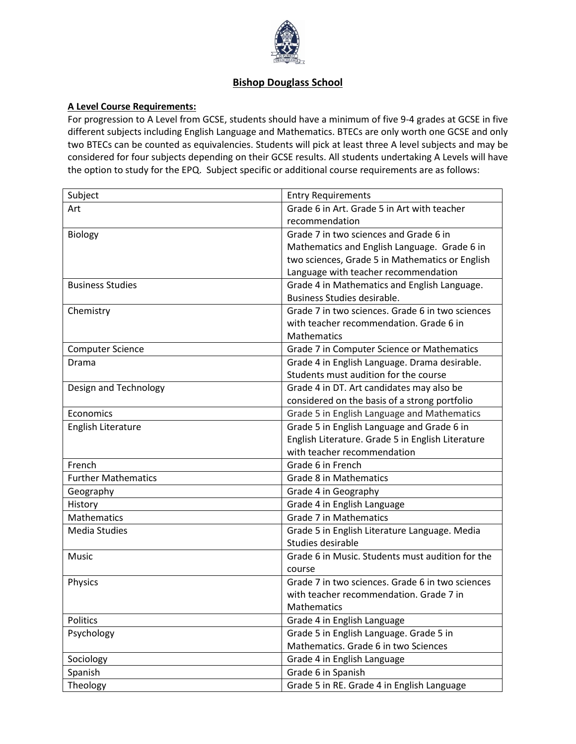

## **Bishop Douglass School**

## **A Level Course Requirements:**

For progression to A Level from GCSE, students should have a minimum of five 9-4 grades at GCSE in five different subjects including English Language and Mathematics. BTECs are only worth one GCSE and only two BTECs can be counted as equivalencies. Students will pick at least three A level subjects and may be considered for four subjects depending on their GCSE results. All students undertaking A Levels will have the option to study for the EPQ. Subject specific or additional course requirements are as follows:

| Subject                    | <b>Entry Requirements</b>                         |
|----------------------------|---------------------------------------------------|
| Art                        | Grade 6 in Art. Grade 5 in Art with teacher       |
|                            | recommendation                                    |
| <b>Biology</b>             | Grade 7 in two sciences and Grade 6 in            |
|                            | Mathematics and English Language. Grade 6 in      |
|                            | two sciences, Grade 5 in Mathematics or English   |
|                            | Language with teacher recommendation              |
| <b>Business Studies</b>    | Grade 4 in Mathematics and English Language.      |
|                            | Business Studies desirable.                       |
| Chemistry                  | Grade 7 in two sciences. Grade 6 in two sciences  |
|                            | with teacher recommendation. Grade 6 in           |
|                            | <b>Mathematics</b>                                |
| <b>Computer Science</b>    | Grade 7 in Computer Science or Mathematics        |
| Drama                      | Grade 4 in English Language. Drama desirable.     |
|                            | Students must audition for the course             |
| Design and Technology      | Grade 4 in DT. Art candidates may also be         |
|                            | considered on the basis of a strong portfolio     |
| Economics                  | Grade 5 in English Language and Mathematics       |
| English Literature         | Grade 5 in English Language and Grade 6 in        |
|                            | English Literature. Grade 5 in English Literature |
|                            | with teacher recommendation                       |
| French                     | Grade 6 in French                                 |
| <b>Further Mathematics</b> | <b>Grade 8 in Mathematics</b>                     |
| Geography                  | Grade 4 in Geography                              |
| History                    | Grade 4 in English Language                       |
| Mathematics                | Grade 7 in Mathematics                            |
| <b>Media Studies</b>       | Grade 5 in English Literature Language. Media     |
|                            | Studies desirable                                 |
| Music                      | Grade 6 in Music. Students must audition for the  |
|                            | course                                            |
| Physics                    | Grade 7 in two sciences. Grade 6 in two sciences  |
|                            | with teacher recommendation. Grade 7 in           |
|                            | <b>Mathematics</b>                                |
| Politics                   | Grade 4 in English Language                       |
| Psychology                 | Grade 5 in English Language. Grade 5 in           |
|                            | Mathematics. Grade 6 in two Sciences              |
| Sociology                  | Grade 4 in English Language                       |
| Spanish                    | Grade 6 in Spanish                                |
| Theology                   | Grade 5 in RE. Grade 4 in English Language        |